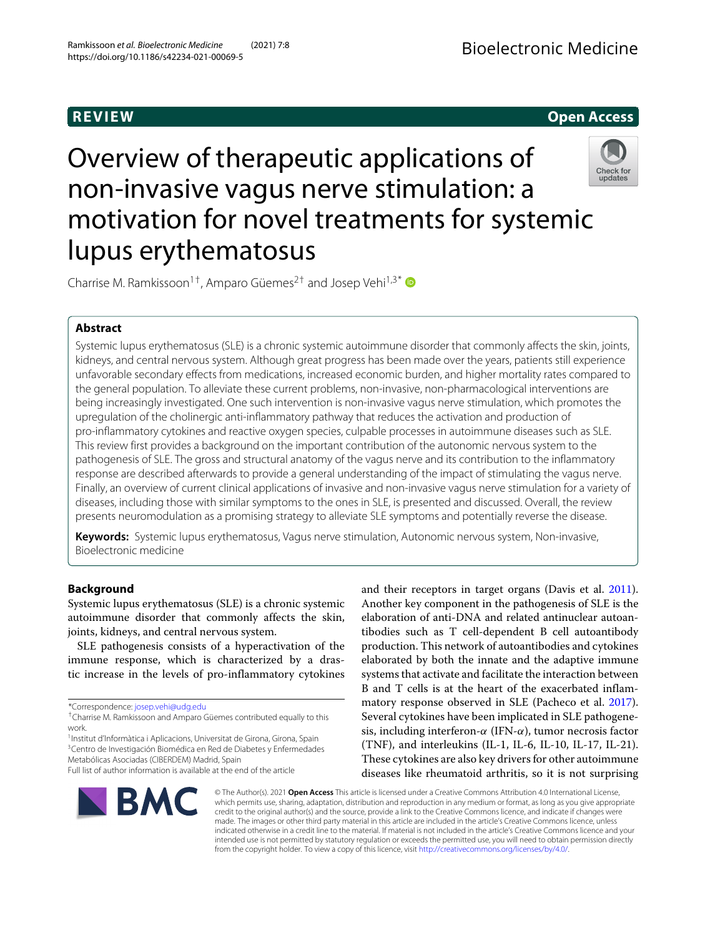## **REVIEW Open Access**

# Overview of therapeutic applications of non-invasive vagus nerve stimulation: a motivation for novel treatments for systemic lupus erythematosus



Charrise M. Ramkissoon<sup>1+</sup>, Amparo Güemes<sup>2+</sup> and Josep Vehi<sup>1,3\*</sup>

## **Abstract**

Systemic lupus erythematosus (SLE) is a chronic systemic autoimmune disorder that commonly affects the skin, joints, kidneys, and central nervous system. Although great progress has been made over the years, patients still experience unfavorable secondary effects from medications, increased economic burden, and higher mortality rates compared to the general population. To alleviate these current problems, non-invasive, non-pharmacological interventions are being increasingly investigated. One such intervention is non-invasive vagus nerve stimulation, which promotes the upregulation of the cholinergic anti-inflammatory pathway that reduces the activation and production of pro-inflammatory cytokines and reactive oxygen species, culpable processes in autoimmune diseases such as SLE. This review first provides a background on the important contribution of the autonomic nervous system to the pathogenesis of SLE. The gross and structural anatomy of the vagus nerve and its contribution to the inflammatory response are described afterwards to provide a general understanding of the impact of stimulating the vagus nerve. Finally, an overview of current clinical applications of invasive and non-invasive vagus nerve stimulation for a variety of diseases, including those with similar symptoms to the ones in SLE, is presented and discussed. Overall, the review presents neuromodulation as a promising strategy to alleviate SLE symptoms and potentially reverse the disease.

**Keywords:** Systemic lupus erythematosus, Vagus nerve stimulation, Autonomic nervous system, Non-invasive, Bioelectronic medicine

## **Background**

Systemic lupus erythematosus (SLE) is a chronic systemic autoimmune disorder that commonly affects the skin, joints, kidneys, and central nervous system.

SLE pathogenesis consists of a hyperactivation of the immune response, which is characterized by a drastic increase in the levels of pro-inflammatory cytokines

<sup>1</sup>Institut d'Informàtica i Aplicacions, Universitat de Girona, Girona, Spain <sup>3</sup> Centro de Investigación Biomédica en Red de Diabetes y Enfermedades elaboration of anti-DNA and related antinuclear autoantibodies such as T cell-dependent B cell autoantibody production. This network of autoantibodies and cytokines elaborated by both the innate and the adaptive immune systems that activate and facilitate the interaction between B and T cells is at the heart of the exacerbated inflammatory response observed in SLE (Pacheco et al. [2017\)](#page-10-0). Several cytokines have been implicated in SLE pathogenesis, including interferon- $\alpha$  (IFN- $\alpha$ ), tumor necrosis factor (TNF), and interleukins (IL-1, IL-6, IL-10, IL-17, IL-21). These cytokines are also key drivers for other autoimmune diseases like rheumatoid arthritis, so it is not surprising

and their receptors in target organs (Davis et al. [2011\)](#page-9-0). Another key component in the pathogenesis of SLE is the



© The Author(s). 2021 **Open Access** This article is licensed under a Creative Commons Attribution 4.0 International License, which permits use, sharing, adaptation, distribution and reproduction in any medium or format, as long as you give appropriate credit to the original author(s) and the source, provide a link to the Creative Commons licence, and indicate if changes were made. The images or other third party material in this article are included in the article's Creative Commons licence, unless indicated otherwise in a credit line to the material. If material is not included in the article's Creative Commons licence and your intended use is not permitted by statutory regulation or exceeds the permitted use, you will need to obtain permission directly from the copyright holder. To view a copy of this licence, visit [http://creativecommons.org/licenses/by/4.0/.](http://creativecommons.org/licenses/by/4.0/)

<sup>\*</sup>Correspondence: [josep.vehi@udg.edu](mailto: josep.vehi@udg.edu)

<sup>†</sup>Charrise M. Ramkissoon and Amparo Güemes contributed equally to this work.

Metabólicas Asociadas (CIBERDEM) Madrid, Spain Full list of author information is available at the end of the article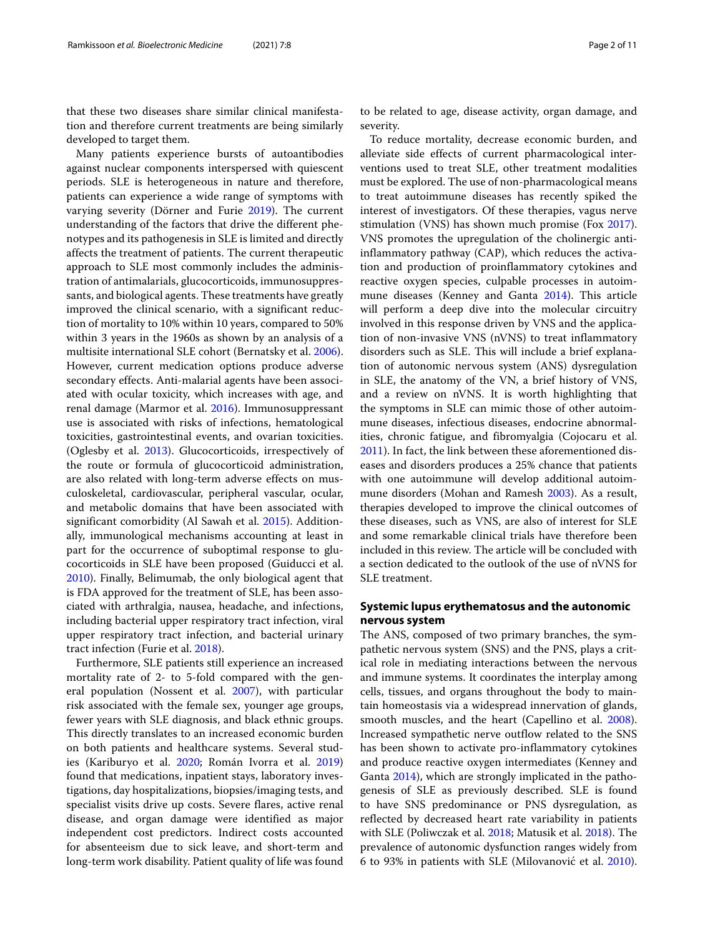that these two diseases share similar clinical manifestation and therefore current treatments are being similarly developed to target them.

Many patients experience bursts of autoantibodies against nuclear components interspersed with quiescent periods. SLE is heterogeneous in nature and therefore, patients can experience a wide range of symptoms with varying severity (Dörner and Furie [2019\)](#page-9-1). The current understanding of the factors that drive the different phenotypes and its pathogenesis in SLE is limited and directly affects the treatment of patients. The current therapeutic approach to SLE most commonly includes the administration of antimalarials, glucocorticoids, immunosuppressants, and biological agents. These treatments have greatly improved the clinical scenario, with a significant reduction of mortality to 10% within 10 years, compared to 50% within 3 years in the 1960s as shown by an analysis of a multisite international SLE cohort (Bernatsky et al. [2006\)](#page-8-0). However, current medication options produce adverse secondary effects. Anti-malarial agents have been associated with ocular toxicity, which increases with age, and renal damage (Marmor et al. [2016\)](#page-10-1). Immunosuppressant use is associated with risks of infections, hematological toxicities, gastrointestinal events, and ovarian toxicities. (Oglesby et al. [2013\)](#page-10-2). Glucocorticoids, irrespectively of the route or formula of glucocorticoid administration, are also related with long-term adverse effects on musculoskeletal, cardiovascular, peripheral vascular, ocular, and metabolic domains that have been associated with significant comorbidity (Al Sawah et al. [2015\)](#page-8-1). Additionally, immunological mechanisms accounting at least in part for the occurrence of suboptimal response to glucocorticoids in SLE have been proposed (Guiducci et al. [2010\)](#page-9-2). Finally, Belimumab, the only biological agent that is FDA approved for the treatment of SLE, has been associated with arthralgia, nausea, headache, and infections, including bacterial upper respiratory tract infection, viral upper respiratory tract infection, and bacterial urinary tract infection (Furie et al. [2018\)](#page-9-3).

Furthermore, SLE patients still experience an increased mortality rate of 2- to 5-fold compared with the general population (Nossent et al. [2007\)](#page-10-3), with particular risk associated with the female sex, younger age groups, fewer years with SLE diagnosis, and black ethnic groups. This directly translates to an increased economic burden on both patients and healthcare systems. Several studies (Kariburyo et al. [2020;](#page-9-4) Román Ivorra et al. [2019\)](#page-10-4) found that medications, inpatient stays, laboratory investigations, day hospitalizations, biopsies/imaging tests, and specialist visits drive up costs. Severe flares, active renal disease, and organ damage were identified as major independent cost predictors. Indirect costs accounted for absenteeism due to sick leave, and short-term and long-term work disability. Patient quality of life was found

to be related to age, disease activity, organ damage, and severity.

To reduce mortality, decrease economic burden, and alleviate side effects of current pharmacological interventions used to treat SLE, other treatment modalities must be explored. The use of non-pharmacological means to treat autoimmune diseases has recently spiked the interest of investigators. Of these therapies, vagus nerve stimulation (VNS) has shown much promise (Fox [2017\)](#page-9-5). VNS promotes the upregulation of the cholinergic antiinflammatory pathway (CAP), which reduces the activation and production of proinflammatory cytokines and reactive oxygen species, culpable processes in autoimmune diseases (Kenney and Ganta [2014\)](#page-9-6). This article will perform a deep dive into the molecular circuitry involved in this response driven by VNS and the application of non-invasive VNS (nVNS) to treat inflammatory disorders such as SLE. This will include a brief explanation of autonomic nervous system (ANS) dysregulation in SLE, the anatomy of the VN, a brief history of VNS, and a review on nVNS. It is worth highlighting that the symptoms in SLE can mimic those of other autoimmune diseases, infectious diseases, endocrine abnormalities, chronic fatigue, and fibromyalgia (Cojocaru et al. [2011\)](#page-9-7). In fact, the link between these aforementioned diseases and disorders produces a 25% chance that patients with one autoimmune will develop additional autoimmune disorders (Mohan and Ramesh [2003\)](#page-10-5). As a result, therapies developed to improve the clinical outcomes of these diseases, such as VNS, are also of interest for SLE and some remarkable clinical trials have therefore been included in this review. The article will be concluded with a section dedicated to the outlook of the use of nVNS for SLE treatment.

## **Systemic lupus erythematosus and the autonomic nervous system**

The ANS, composed of two primary branches, the sympathetic nervous system (SNS) and the PNS, plays a critical role in mediating interactions between the nervous and immune systems. It coordinates the interplay among cells, tissues, and organs throughout the body to maintain homeostasis via a widespread innervation of glands, smooth muscles, and the heart (Capellino et al. [2008\)](#page-9-8). Increased sympathetic nerve outflow related to the SNS has been shown to activate pro-inflammatory cytokines and produce reactive oxygen intermediates (Kenney and Ganta [2014\)](#page-9-6), which are strongly implicated in the pathogenesis of SLE as previously described. SLE is found to have SNS predominance or PNS dysregulation, as reflected by decreased heart rate variability in patients with SLE (Poliwczak et al. [2018;](#page-10-6) Matusik et al. [2018\)](#page-10-7). The prevalence of autonomic dysfunction ranges widely from 6 to 93% in patients with SLE (Milovanović et al. [2010\)](#page-10-8).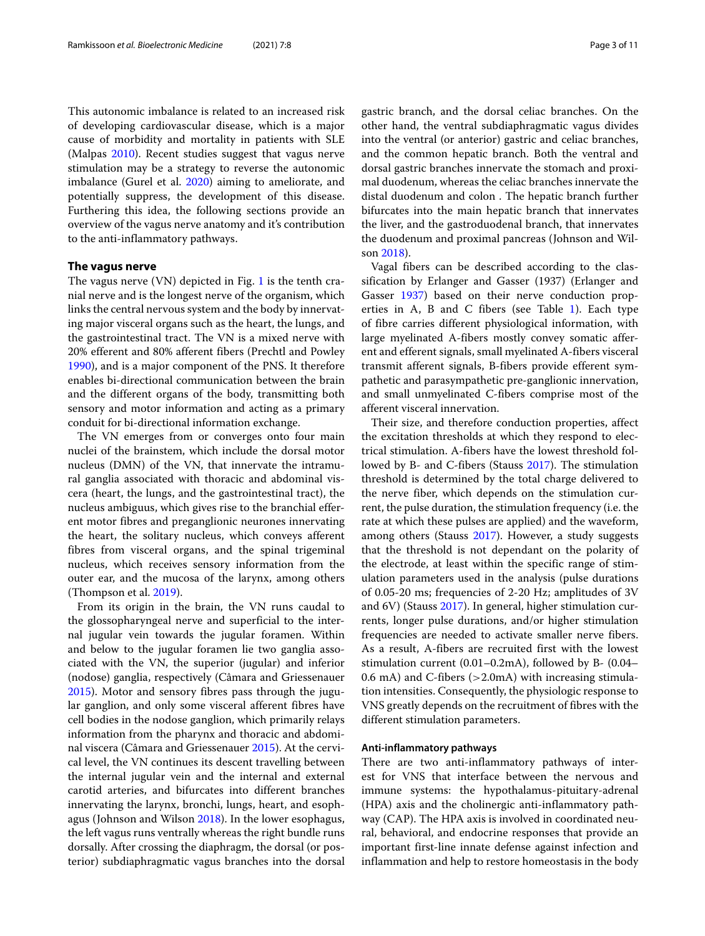This autonomic imbalance is related to an increased risk of developing cardiovascular disease, which is a major cause of morbidity and mortality in patients with SLE (Malpas [2010\)](#page-10-9). Recent studies suggest that vagus nerve stimulation may be a strategy to reverse the autonomic imbalance (Gurel et al. [2020\)](#page-9-9) aiming to ameliorate, and potentially suppress, the development of this disease. Furthering this idea, the following sections provide an overview of the vagus nerve anatomy and it's contribution to the anti-inflammatory pathways.

#### **The vagus nerve**

The vagus nerve (VN) depicted in Fig. [1](#page-3-0) is the tenth cranial nerve and is the longest nerve of the organism, which links the central nervous system and the body by innervating major visceral organs such as the heart, the lungs, and the gastrointestinal tract. The VN is a mixed nerve with 20% efferent and 80% afferent fibers (Prechtl and Powley [1990\)](#page-10-10), and is a major component of the PNS. It therefore enables bi-directional communication between the brain and the different organs of the body, transmitting both sensory and motor information and acting as a primary conduit for bi-directional information exchange.

The VN emerges from or converges onto four main nuclei of the brainstem, which include the dorsal motor nucleus (DMN) of the VN, that innervate the intramural ganglia associated with thoracic and abdominal viscera (heart, the lungs, and the gastrointestinal tract), the nucleus ambiguus, which gives rise to the branchial efferent motor fibres and preganglionic neurones innervating the heart, the solitary nucleus, which conveys afferent fibres from visceral organs, and the spinal trigeminal nucleus, which receives sensory information from the outer ear, and the mucosa of the larynx, among others (Thompson et al. [2019\)](#page-10-11).

From its origin in the brain, the VN runs caudal to the glossopharyngeal nerve and superficial to the internal jugular vein towards the jugular foramen. Within and below to the jugular foramen lie two ganglia associated with the VN, the superior (jugular) and inferior (nodose) ganglia, respectively (Câmara and Griessenauer [2015\)](#page-9-10). Motor and sensory fibres pass through the jugular ganglion, and only some visceral afferent fibres have cell bodies in the nodose ganglion, which primarily relays information from the pharynx and thoracic and abdominal viscera (Câmara and Griessenauer [2015\)](#page-9-10). At the cervical level, the VN continues its descent travelling between the internal jugular vein and the internal and external carotid arteries, and bifurcates into different branches innervating the larynx, bronchi, lungs, heart, and esophagus (Johnson and Wilson [2018\)](#page-9-11). In the lower esophagus, the left vagus runs ventrally whereas the right bundle runs dorsally. After crossing the diaphragm, the dorsal (or posterior) subdiaphragmatic vagus branches into the dorsal

gastric branch, and the dorsal celiac branches. On the other hand, the ventral subdiaphragmatic vagus divides into the ventral (or anterior) gastric and celiac branches, and the common hepatic branch. Both the ventral and dorsal gastric branches innervate the stomach and proximal duodenum, whereas the celiac branches innervate the distal duodenum and colon . The hepatic branch further bifurcates into the main hepatic branch that innervates the liver, and the gastroduodenal branch, that innervates the duodenum and proximal pancreas (Johnson and Wilson [2018\)](#page-9-11).

Vagal fibers can be described according to the classification by Erlanger and Gasser (1937) (Erlanger and Gasser [1937\)](#page-9-12) based on their nerve conduction properties in A, B and C fibers (see Table [1\)](#page-3-1). Each type of fibre carries different physiological information, with large myelinated A-fibers mostly convey somatic afferent and efferent signals, small myelinated A-fibers visceral transmit afferent signals, B-fibers provide efferent sympathetic and parasympathetic pre-ganglionic innervation, and small unmyelinated C-fibers comprise most of the afferent visceral innervation.

Their size, and therefore conduction properties, affect the excitation thresholds at which they respond to electrical stimulation. A-fibers have the lowest threshold followed by B- and C-fibers (Stauss [2017\)](#page-10-12). The stimulation threshold is determined by the total charge delivered to the nerve fiber, which depends on the stimulation current, the pulse duration, the stimulation frequency (i.e. the rate at which these pulses are applied) and the waveform, among others (Stauss [2017\)](#page-10-12). However, a study suggests that the threshold is not dependant on the polarity of the electrode, at least within the specific range of stimulation parameters used in the analysis (pulse durations of 0.05-20 ms; frequencies of 2-20 Hz; amplitudes of 3V and 6V) (Stauss [2017\)](#page-10-12). In general, higher stimulation currents, longer pulse durations, and/or higher stimulation frequencies are needed to activate smaller nerve fibers. As a result, A-fibers are recruited first with the lowest stimulation current (0.01–0.2mA), followed by B- (0.04– 0.6 mA) and C-fibers (>2.0mA) with increasing stimulation intensities. Consequently, the physiologic response to VNS greatly depends on the recruitment of fibres with the different stimulation parameters.

#### **Anti-inflammatory pathways**

There are two anti-inflammatory pathways of interest for VNS that interface between the nervous and immune systems: the hypothalamus-pituitary-adrenal (HPA) axis and the cholinergic anti-inflammatory pathway (CAP). The HPA axis is involved in coordinated neural, behavioral, and endocrine responses that provide an important first-line innate defense against infection and inflammation and help to restore homeostasis in the body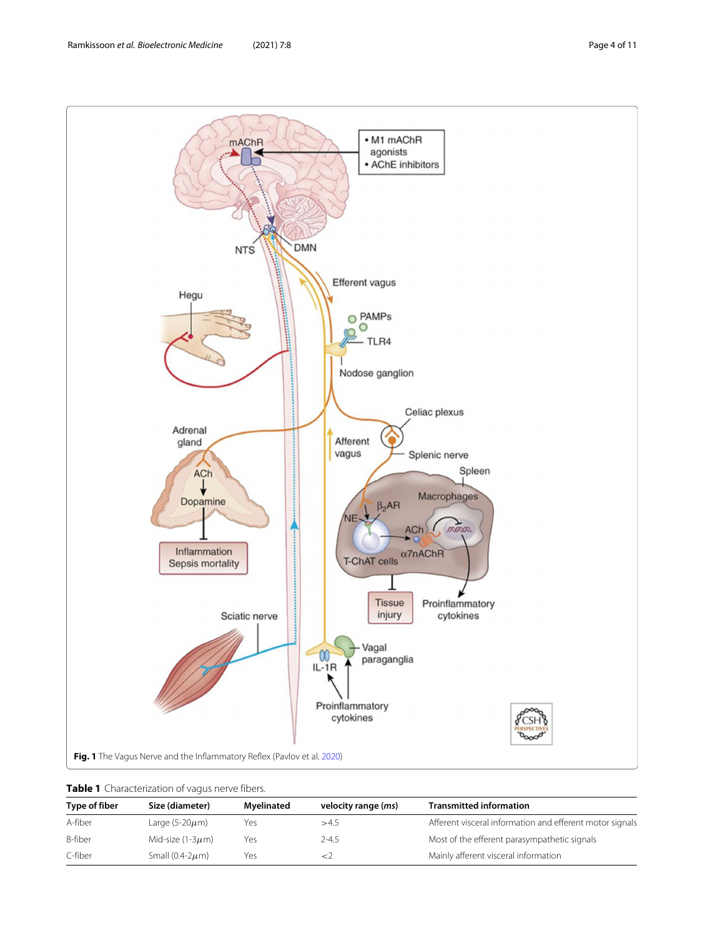

<span id="page-3-1"></span><span id="page-3-0"></span>

|  | Table 1 Characterization of vagus nerve fibers. |  |  |
|--|-------------------------------------------------|--|--|
|--|-------------------------------------------------|--|--|

| Type of fiber | Size (diameter)        | Mvelinated | velocity range ( <i>ms</i> ) | <b>Transmitted information</b>                           |
|---------------|------------------------|------------|------------------------------|----------------------------------------------------------|
| A-fiber       | Large (5-20 $\mu$ m)   | Yes        | >4.5                         | Afferent visceral information and efferent motor signals |
| B-fiber       | Mid-size (1-3 $\mu$ m) | Yes        | $2 - 4.5$                    | Most of the efferent parasympathetic signals             |
| C-fiber       | Small (0.4-2 $\mu$ m)  | Yes        |                              | Mainly afferent visceral information                     |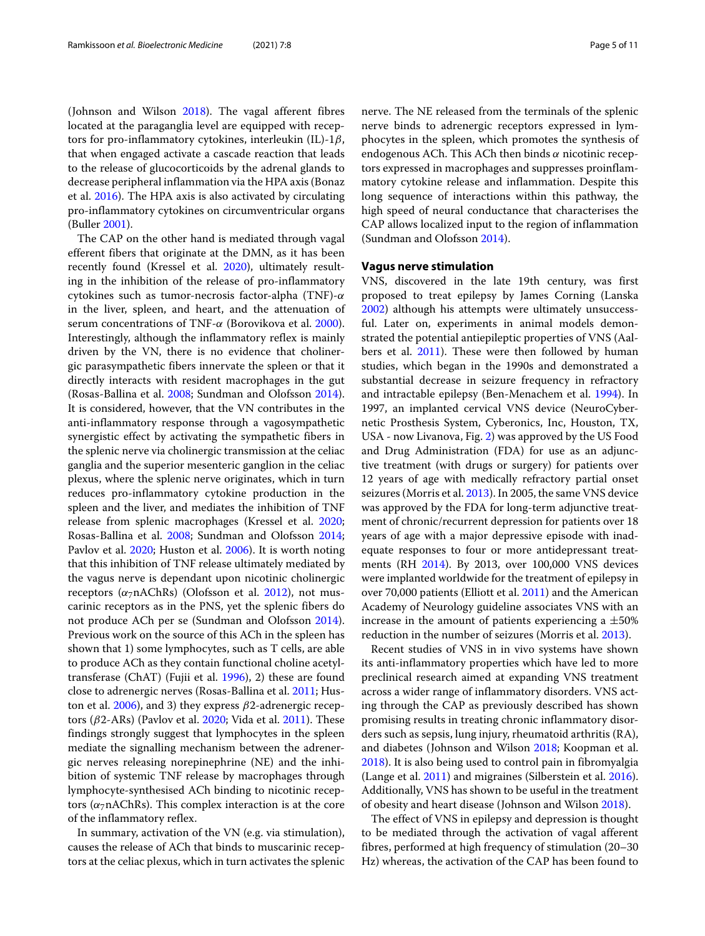(Johnson and Wilson [2018\)](#page-9-11). The vagal afferent fibres located at the paraganglia level are equipped with receptors for pro-inflammatory cytokines, interleukin (IL)- $1\beta$ , that when engaged activate a cascade reaction that leads to the release of glucocorticoids by the adrenal glands to decrease peripheral inflammation via the HPA axis (Bonaz et al. [2016\)](#page-8-2). The HPA axis is also activated by circulating pro-inflammatory cytokines on circumventricular organs (Buller [2001\)](#page-9-13).

The CAP on the other hand is mediated through vagal efferent fibers that originate at the DMN, as it has been recently found (Kressel et al. [2020\)](#page-10-14), ultimately resulting in the inhibition of the release of pro-inflammatory cytokines such as tumor-necrosis factor-alpha (TNF)- $\alpha$ in the liver, spleen, and heart, and the attenuation of serum concentrations of TNF-α (Borovikova et al. [2000\)](#page-8-3). Interestingly, although the inflammatory reflex is mainly driven by the VN, there is no evidence that cholinergic parasympathetic fibers innervate the spleen or that it directly interacts with resident macrophages in the gut (Rosas-Ballina et al. [2008;](#page-10-15) Sundman and Olofsson [2014\)](#page-10-16). It is considered, however, that the VN contributes in the anti-inflammatory response through a vagosympathetic synergistic effect by activating the sympathetic fibers in the splenic nerve via cholinergic transmission at the celiac ganglia and the superior mesenteric ganglion in the celiac plexus, where the splenic nerve originates, which in turn reduces pro-inflammatory cytokine production in the spleen and the liver, and mediates the inhibition of TNF release from splenic macrophages (Kressel et al. [2020;](#page-10-14) Rosas-Ballina et al. [2008;](#page-10-15) Sundman and Olofsson [2014;](#page-10-16) Pavlov et al. [2020;](#page-10-13) Huston et al. [2006\)](#page-9-14). It is worth noting that this inhibition of TNF release ultimately mediated by the vagus nerve is dependant upon nicotinic cholinergic receptors ( $\alpha$ <sub>7</sub>nAChRs) (Olofsson et al. [2012\)](#page-10-17), not muscarinic receptors as in the PNS, yet the splenic fibers do not produce ACh per se (Sundman and Olofsson [2014\)](#page-10-16). Previous work on the source of this ACh in the spleen has shown that 1) some lymphocytes, such as T cells, are able to produce ACh as they contain functional choline acetyltransferase (ChAT) (Fujii et al. [1996\)](#page-9-15), 2) these are found close to adrenergic nerves (Rosas-Ballina et al. [2011;](#page-10-18) Hus-ton et al. [2006\)](#page-9-14), and 3) they express  $\beta$ 2-adrenergic recep-tors (β2-ARs) (Pavlov et al. [2020;](#page-10-13) Vida et al. [2011\)](#page-10-19). These findings strongly suggest that lymphocytes in the spleen mediate the signalling mechanism between the adrenergic nerves releasing norepinephrine (NE) and the inhibition of systemic TNF release by macrophages through lymphocyte-synthesised ACh binding to nicotinic receptors ( $\alpha$ <sub>7</sub>nAChRs). This complex interaction is at the core of the inflammatory reflex.

In summary, activation of the VN (e.g. via stimulation), causes the release of ACh that binds to muscarinic receptors at the celiac plexus, which in turn activates the splenic nerve. The NE released from the terminals of the splenic nerve binds to adrenergic receptors expressed in lymphocytes in the spleen, which promotes the synthesis of endogenous ACh. This ACh then binds  $\alpha$  nicotinic receptors expressed in macrophages and suppresses proinflammatory cytokine release and inflammation. Despite this long sequence of interactions within this pathway, the high speed of neural conductance that characterises the CAP allows localized input to the region of inflammation (Sundman and Olofsson [2014\)](#page-10-16).

#### **Vagus nerve stimulation**

VNS, discovered in the late 19th century, was first proposed to treat epilepsy by James Corning (Lanska [2002\)](#page-10-20) although his attempts were ultimately unsuccessful. Later on, experiments in animal models demonstrated the potential antiepileptic properties of VNS (Aalbers et al. [2011\)](#page-8-4). These were then followed by human studies, which began in the 1990s and demonstrated a substantial decrease in seizure frequency in refractory and intractable epilepsy (Ben-Menachem et al. [1994\)](#page-8-5). In 1997, an implanted cervical VNS device (NeuroCybernetic Prosthesis System, Cyberonics, Inc, Houston, TX, USA - now Livanova, Fig. [2\)](#page-5-0) was approved by the US Food and Drug Administration (FDA) for use as an adjunctive treatment (with drugs or surgery) for patients over 12 years of age with medically refractory partial onset seizures (Morris et al. [2013\)](#page-10-21). In 2005, the same VNS device was approved by the FDA for long-term adjunctive treatment of chronic/recurrent depression for patients over 18 years of age with a major depressive episode with inadequate responses to four or more antidepressant treatments (RH [2014\)](#page-10-22). By 2013, over 100,000 VNS devices were implanted worldwide for the treatment of epilepsy in over 70,000 patients (Elliott et al. [2011\)](#page-9-16) and the American Academy of Neurology guideline associates VNS with an increase in the amount of patients experiencing a  $\pm 50\%$ reduction in the number of seizures (Morris et al. [2013\)](#page-10-21).

Recent studies of VNS in in vivo systems have shown its anti-inflammatory properties which have led to more preclinical research aimed at expanding VNS treatment across a wider range of inflammatory disorders. VNS acting through the CAP as previously described has shown promising results in treating chronic inflammatory disorders such as sepsis, lung injury, rheumatoid arthritis (RA), and diabetes (Johnson and Wilson [2018;](#page-9-11) Koopman et al. [2018\)](#page-9-17). It is also being used to control pain in fibromyalgia (Lange et al. [2011\)](#page-10-23) and migraines (Silberstein et al. [2016\)](#page-10-24). Additionally, VNS has shown to be useful in the treatment of obesity and heart disease (Johnson and Wilson [2018\)](#page-9-11).

The effect of VNS in epilepsy and depression is thought to be mediated through the activation of vagal afferent fibres, performed at high frequency of stimulation (20–30 Hz) whereas, the activation of the CAP has been found to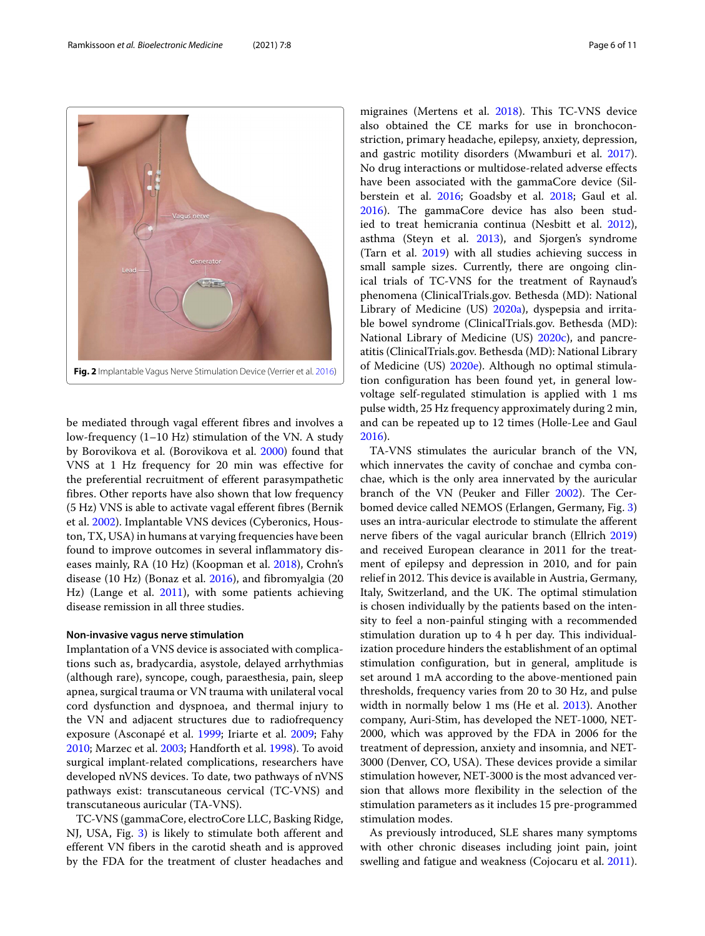Ramkissoon *et al. Bioelectronic Medicine* (2021) 7:8 Page 6 of 11



<span id="page-5-0"></span>be mediated through vagal efferent fibres and involves a low-frequency (1–10 Hz) stimulation of the VN. A study by Borovikova et al. (Borovikova et al. [2000\)](#page-8-3) found that VNS at 1 Hz frequency for 20 min was effective for the preferential recruitment of efferent parasympathetic fibres. Other reports have also shown that low frequency (5 Hz) VNS is able to activate vagal efferent fibres (Bernik et al. [2002\)](#page-8-6). Implantable VNS devices (Cyberonics, Houston, TX, USA) in humans at varying frequencies have been found to improve outcomes in several inflammatory diseases mainly, RA (10 Hz) (Koopman et al. [2018\)](#page-9-17), Crohn's disease (10 Hz) (Bonaz et al. [2016\)](#page-8-7), and fibromyalgia (20 Hz) (Lange et al. [2011\)](#page-10-23), with some patients achieving disease remission in all three studies.

#### **Non-invasive vagus nerve stimulation**

Implantation of a VNS device is associated with complications such as, bradycardia, asystole, delayed arrhythmias (although rare), syncope, cough, paraesthesia, pain, sleep apnea, surgical trauma or VN trauma with unilateral vocal cord dysfunction and dyspnoea, and thermal injury to the VN and adjacent structures due to radiofrequency exposure (Asconapé et al. [1999;](#page-8-8) Iriarte et al. [2009;](#page-9-18) Fahy [2010;](#page-9-19) Marzec et al. [2003;](#page-10-26) Handforth et al. [1998\)](#page-9-20). To avoid surgical implant-related complications, researchers have developed nVNS devices. To date, two pathways of nVNS pathways exist: transcutaneous cervical (TC-VNS) and transcutaneous auricular (TA-VNS).

TC-VNS (gammaCore, electroCore LLC, Basking Ridge, NJ, USA, Fig. [3\)](#page-6-0) is likely to stimulate both afferent and efferent VN fibers in the carotid sheath and is approved by the FDA for the treatment of cluster headaches and migraines (Mertens et al. [2018\)](#page-10-27). This TC-VNS device also obtained the CE marks for use in bronchoconstriction, primary headache, epilepsy, anxiety, depression, and gastric motility disorders (Mwamburi et al. [2017\)](#page-10-28). No drug interactions or multidose-related adverse effects have been associated with the gammaCore device (Silberstein et al. [2016;](#page-10-24) Goadsby et al. [2018;](#page-9-21) Gaul et al. [2016\)](#page-9-22). The gammaCore device has also been studied to treat hemicrania continua (Nesbitt et al. [2012\)](#page-10-29), asthma (Steyn et al. [2013\)](#page-10-30), and Sjorgen's syndrome (Tarn et al. [2019\)](#page-10-31) with all studies achieving success in small sample sizes. Currently, there are ongoing clinical trials of TC-VNS for the treatment of Raynaud's phenomena (ClinicalTrials.gov. Bethesda (MD): National Library of Medicine (US) [2020a\)](#page-9-23), dyspepsia and irritable bowel syndrome (ClinicalTrials.gov. Bethesda (MD): National Library of Medicine (US) [2020c\)](#page-9-24), and pancreatitis (ClinicalTrials.gov. Bethesda (MD): National Library of Medicine (US) [2020e\)](#page-9-25). Although no optimal stimulation configuration has been found yet, in general lowvoltage self-regulated stimulation is applied with 1 ms pulse width, 25 Hz frequency approximately during 2 min, and can be repeated up to 12 times (Holle-Lee and Gaul [2016\)](#page-9-26).

TA-VNS stimulates the auricular branch of the VN, which innervates the cavity of conchae and cymba conchae, which is the only area innervated by the auricular branch of the VN (Peuker and Filler [2002\)](#page-10-32). The Cerbomed device called NEMOS (Erlangen, Germany, Fig. [3\)](#page-6-0) uses an intra-auricular electrode to stimulate the afferent nerve fibers of the vagal auricular branch (Ellrich [2019\)](#page-9-27) and received European clearance in 2011 for the treatment of epilepsy and depression in 2010, and for pain relief in 2012. This device is available in Austria, Germany, Italy, Switzerland, and the UK. The optimal stimulation is chosen individually by the patients based on the intensity to feel a non-painful stinging with a recommended stimulation duration up to 4 h per day. This individualization procedure hinders the establishment of an optimal stimulation configuration, but in general, amplitude is set around 1 mA according to the above-mentioned pain thresholds, frequency varies from 20 to 30 Hz, and pulse width in normally below 1 ms (He et al. [2013\)](#page-9-28). Another company, Auri-Stim, has developed the NET-1000, NET-2000, which was approved by the FDA in 2006 for the treatment of depression, anxiety and insomnia, and NET-3000 (Denver, CO, USA). These devices provide a similar stimulation however, NET-3000 is the most advanced version that allows more flexibility in the selection of the stimulation parameters as it includes 15 pre-programmed stimulation modes.

As previously introduced, SLE shares many symptoms with other chronic diseases including joint pain, joint swelling and fatigue and weakness (Cojocaru et al. [2011\)](#page-9-7).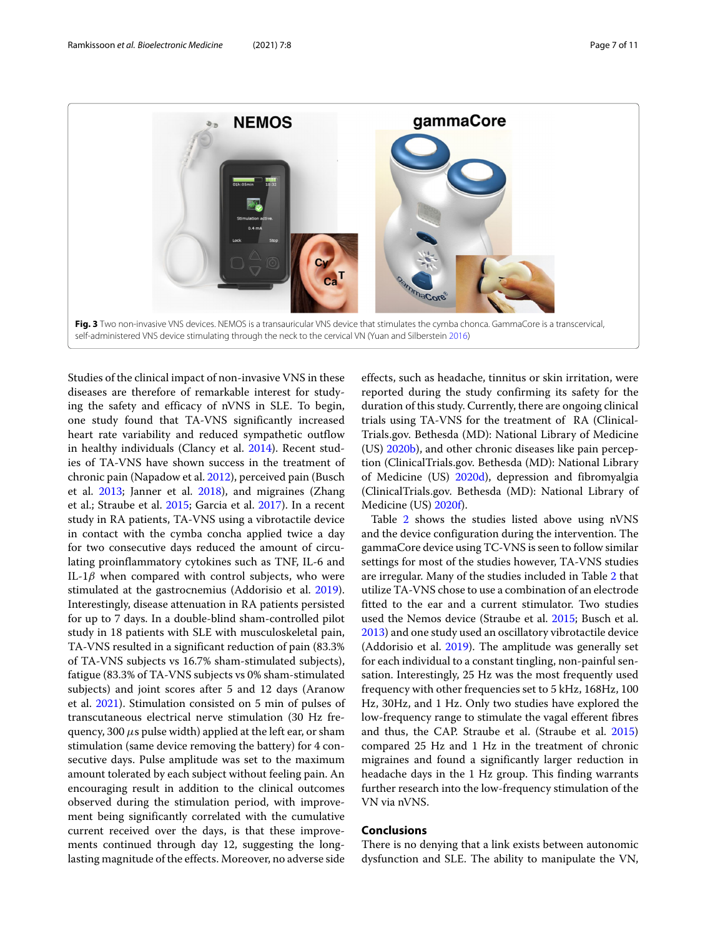

<span id="page-6-0"></span>Studies of the clinical impact of non-invasive VNS in these diseases are therefore of remarkable interest for studying the safety and efficacy of nVNS in SLE. To begin, one study found that TA-VNS significantly increased heart rate variability and reduced sympathetic outflow in healthy individuals (Clancy et al. [2014\)](#page-9-29). Recent studies of TA-VNS have shown success in the treatment of chronic pain (Napadow et al. [2012\)](#page-10-34), perceived pain (Busch et al. [2013;](#page-9-30) Janner et al. [2018\)](#page-9-31), and migraines (Zhang et al.; Straube et al. [2015;](#page-10-35) Garcia et al. [2017\)](#page-9-32). In a recent study in RA patients, TA-VNS using a vibrotactile device in contact with the cymba concha applied twice a day for two consecutive days reduced the amount of circulating proinflammatory cytokines such as TNF, IL-6 and IL-1 $\beta$  when compared with control subjects, who were stimulated at the gastrocnemius (Addorisio et al. [2019\)](#page-8-9). Interestingly, disease attenuation in RA patients persisted for up to 7 days. In a double-blind sham-controlled pilot study in 18 patients with SLE with musculoskeletal pain, TA-VNS resulted in a significant reduction of pain (83.3% of TA-VNS subjects vs 16.7% sham-stimulated subjects), fatigue (83.3% of TA-VNS subjects vs 0% sham-stimulated subjects) and joint scores after 5 and 12 days (Aranow et al. [2021\)](#page-8-10). Stimulation consisted on 5 min of pulses of transcutaneous electrical nerve stimulation (30 Hz frequency, 300  $\mu$ s pulse width) applied at the left ear, or sham stimulation (same device removing the battery) for 4 consecutive days. Pulse amplitude was set to the maximum amount tolerated by each subject without feeling pain. An encouraging result in addition to the clinical outcomes observed during the stimulation period, with improvement being significantly correlated with the cumulative current received over the days, is that these improvements continued through day 12, suggesting the longlasting magnitude of the effects. Moreover, no adverse side

effects, such as headache, tinnitus or skin irritation, were reported during the study confirming its safety for the duration of this study. Currently, there are ongoing clinical trials using TA-VNS for the treatment of RA (Clinical-Trials.gov. Bethesda (MD): National Library of Medicine (US) [2020b\)](#page-9-33), and other chronic diseases like pain perception (ClinicalTrials.gov. Bethesda (MD): National Library of Medicine (US) [2020d\)](#page-9-34), depression and fibromyalgia (ClinicalTrials.gov. Bethesda (MD): National Library of Medicine (US) [2020f\)](#page-9-35).

Table [2](#page-7-0) shows the studies listed above using nVNS and the device configuration during the intervention. The gammaCore device using TC-VNS is seen to follow similar settings for most of the studies however, TA-VNS studies are irregular. Many of the studies included in Table [2](#page-7-0) that utilize TA-VNS chose to use a combination of an electrode fitted to the ear and a current stimulator. Two studies used the Nemos device (Straube et al. [2015;](#page-10-35) Busch et al. [2013\)](#page-9-30) and one study used an oscillatory vibrotactile device (Addorisio et al. [2019\)](#page-8-9). The amplitude was generally set for each individual to a constant tingling, non-painful sensation. Interestingly, 25 Hz was the most frequently used frequency with other frequencies set to 5 kHz, 168Hz, 100 Hz, 30Hz, and 1 Hz. Only two studies have explored the low-frequency range to stimulate the vagal efferent fibres and thus, the CAP. Straube et al. (Straube et al. [2015\)](#page-10-35) compared 25 Hz and 1 Hz in the treatment of chronic migraines and found a significantly larger reduction in headache days in the 1 Hz group. This finding warrants further research into the low-frequency stimulation of the VN via nVNS.

### **Conclusions**

There is no denying that a link exists between autonomic dysfunction and SLE. The ability to manipulate the VN,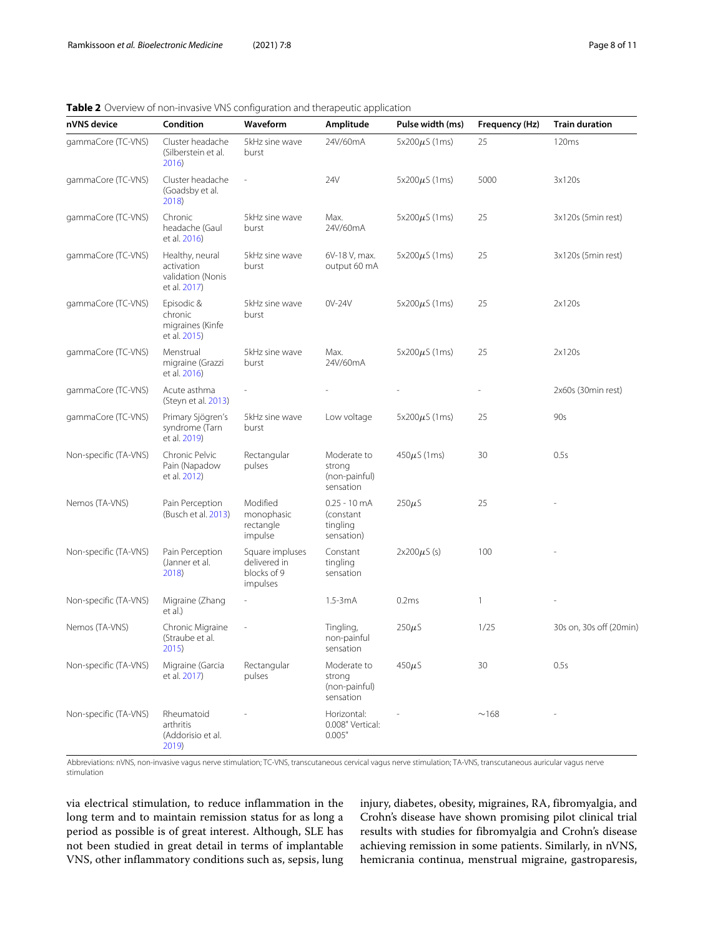<span id="page-7-0"></span>

| <b>Table 2</b> Overview of non-invasive VNS configuration and therapeutic application |  |  |
|---------------------------------------------------------------------------------------|--|--|
|                                                                                       |  |  |

| nVNS device           | Condition                                                          | Waveform                                                   | Amplitude                                                     | Pulse width (ms)    | Frequency (Hz) | <b>Train duration</b>   |
|-----------------------|--------------------------------------------------------------------|------------------------------------------------------------|---------------------------------------------------------------|---------------------|----------------|-------------------------|
| gammaCore (TC-VNS)    | Cluster headache<br>(Silberstein et al.<br>2016                    | 5kHz sine wave<br>burst                                    | 24V/60mA                                                      | $5x200\mu S(1ms)$   | 25             | 120ms                   |
| gammaCore (TC-VNS)    | Cluster headache<br>(Goadsby et al.<br>2018)                       | ÷,                                                         | 24V                                                           | 5x200 $\mu$ S (1ms) | 5000           | 3x120s                  |
| gammaCore (TC-VNS)    | Chronic<br>headache (Gaul<br>et al. 2016)                          | 5kHz sine wave<br>burst                                    | Max.<br>24V/60mA                                              | 5x200 $\mu$ S (1ms) | 25             | 3x120s (5min rest)      |
| gammaCore (TC-VNS)    | Healthy, neural<br>activation<br>validation (Nonis<br>et al. 2017) | 5kHz sine wave<br>burst                                    | 6V-18 V, max.<br>output 60 mA                                 | $5x200\mu S(1ms)$   | 25             | 3x120s (5min rest)      |
| gammaCore (TC-VNS)    | Episodic &<br>chronic<br>migraines (Kinfe<br>et al. 2015)          | 5kHz sine wave<br>burst                                    | 0V-24V                                                        | 5x200 $\mu$ S (1ms) | 25             | 2x120s                  |
| gammaCore (TC-VNS)    | Menstrual<br>migraine (Grazzi<br>et al. 2016)                      | 5kHz sine wave<br>burst                                    | Max.<br>24V/60mA                                              | $5x200\mu S(1ms)$   | 25             | 2x120s                  |
| gammaCore (TC-VNS)    | Acute asthma<br>(Steyn et al. 2013)                                |                                                            |                                                               |                     |                | 2x60s (30min rest)      |
| gammaCore (TC-VNS)    | Primary Sjögren's<br>syndrome (Tarn<br>et al. 2019)                | 5kHz sine wave<br>burst                                    | Low voltage                                                   | $5x200\mu S(1ms)$   | 25             | 90s                     |
| Non-specific (TA-VNS) | Chronic Pelvic<br>Pain (Napadow<br>et al. 2012)                    | Rectangular<br>pulses                                      | Moderate to<br>strong<br>(non-painful)<br>sensation           | $450 \mu S (1ms)$   | 30             | 0.5s                    |
| Nemos (TA-VNS)        | Pain Perception<br>(Busch et al. 2013)                             | Modified<br>monophasic<br>rectangle<br>impulse             | $0.25 - 10 \text{ mA}$<br>(constant<br>tingling<br>sensation) | $250\mu$ S          | 25             |                         |
| Non-specific (TA-VNS) | Pain Perception<br>(Janner et al.<br>2018)                         | Square impluses<br>delivered in<br>blocks of 9<br>impulses | Constant<br>tingling<br>sensation                             | $2x200\mu S$ (s)    | 100            |                         |
| Non-specific (TA-VNS) | Migraine (Zhang<br>et al.)                                         | L,                                                         | $1.5 - 3mA$                                                   | 0.2ms               | $\mathbf{1}$   |                         |
| Nemos (TA-VNS)        | Chronic Migraine<br>(Straube et al.<br>2015)                       | $\overline{a}$                                             | Tingling,<br>non-painful<br>sensation                         | $250\mu$ S          | 1/25           | 30s on, 30s off (20min) |
| Non-specific (TA-VNS) | Migraine (Garcia<br>et al. 2017)                                   | Rectangular<br>pulses                                      | Moderate to<br>strong<br>(non-painful)<br>sensation           | $450\mu S$          | 30             | 0.5s                    |
| Non-specific (TA-VNS) | Rheumatoid<br>arthritis<br>(Addorisio et al.<br>2019)              |                                                            | Horizontal:<br>0.008" Vertical:<br>0.005"                     |                     | ~168           |                         |

Abbreviations: nVNS, non-invasive vagus nerve stimulation; TC-VNS, transcutaneous cervical vagus nerve stimulation; TA-VNS, transcutaneous auricular vagus nerve stimulation

via electrical stimulation, to reduce inflammation in the long term and to maintain remission status for as long a period as possible is of great interest. Although, SLE has not been studied in great detail in terms of implantable VNS, other inflammatory conditions such as, sepsis, lung injury, diabetes, obesity, migraines, RA, fibromyalgia, and Crohn's disease have shown promising pilot clinical trial results with studies for fibromyalgia and Crohn's disease achieving remission in some patients. Similarly, in nVNS, hemicrania continua, menstrual migraine, gastroparesis,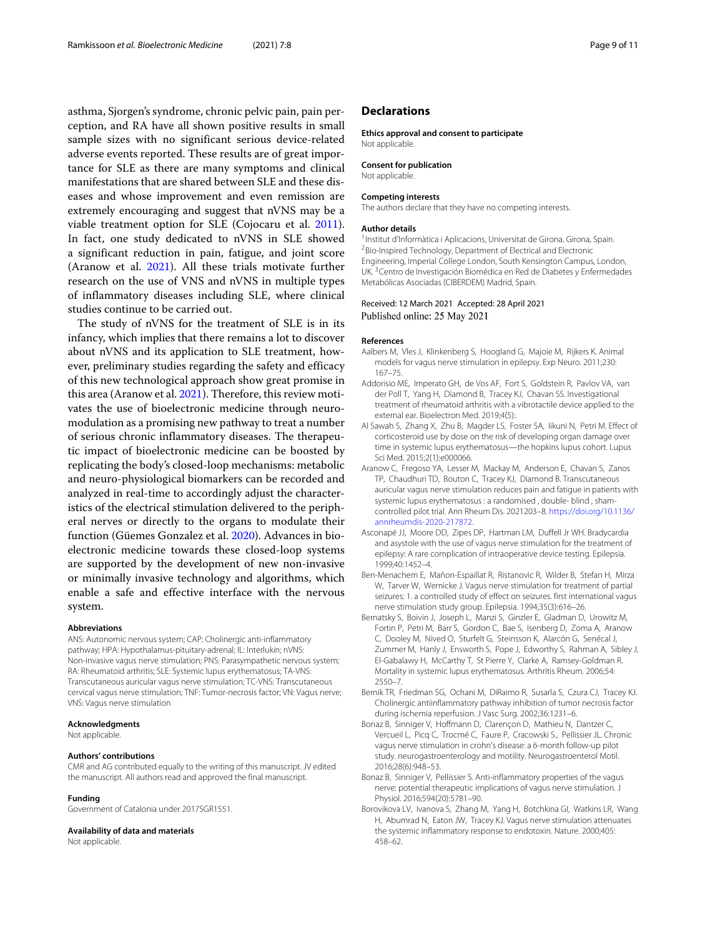asthma, Sjorgen's syndrome, chronic pelvic pain, pain perception, and RA have all shown positive results in small sample sizes with no significant serious device-related adverse events reported. These results are of great importance for SLE as there are many symptoms and clinical manifestations that are shared between SLE and these diseases and whose improvement and even remission are extremely encouraging and suggest that nVNS may be a viable treatment option for SLE (Cojocaru et al. [2011\)](#page-9-7). In fact, one study dedicated to nVNS in SLE showed a significant reduction in pain, fatigue, and joint score (Aranow et al. [2021\)](#page-8-10). All these trials motivate further research on the use of VNS and nVNS in multiple types of inflammatory diseases including SLE, where clinical studies continue to be carried out.

The study of nVNS for the treatment of SLE is in its infancy, which implies that there remains a lot to discover about nVNS and its application to SLE treatment, however, preliminary studies regarding the safety and efficacy of this new technological approach show great promise in this area (Aranow et al. [2021\)](#page-8-10). Therefore, this review motivates the use of bioelectronic medicine through neuromodulation as a promising new pathway to treat a number of serious chronic inflammatory diseases. The therapeutic impact of bioelectronic medicine can be boosted by replicating the body's closed-loop mechanisms: metabolic and neuro-physiological biomarkers can be recorded and analyzed in real-time to accordingly adjust the characteristics of the electrical stimulation delivered to the peripheral nerves or directly to the organs to modulate their function (Güemes Gonzalez et al. [2020\)](#page-9-38). Advances in bioelectronic medicine towards these closed-loop systems are supported by the development of new non-invasive or minimally invasive technology and algorithms, which enable a safe and effective interface with the nervous system.

#### **Abbreviations**

ANS: Autonomic nervous system; CAP: Cholinergic anti-inflammatory pathway; HPA: Hypothalamus-pituitary-adrenal; IL: Interlukin; nVNS: Non-invasive vagus nerve stimulation; PNS: Parasympathetic nervous system; RA: Rheumatoid arthritis; SLE: Systemic lupus erythematosus; TA-VNS: Transcutaneous auricular vagus nerve stimulation; TC-VNS: Transcutaneous cervical vagus nerve stimulation; TNF: Tumor-necrosis factor; VN: Vagus nerve; VNS: Vagus nerve stimulation

#### **Acknowledgments**

Not applicable.

#### **Authors' contributions**

CMR and AG contributed equally to the writing of this manuscript. JV edited the manuscript. All authors read and approved the final manuscript.

#### **Funding**

Government of Catalonia under 2017SGR1551.

#### **Availability of data and materials**

Not applicable.

## **Declarations**

### **Ethics approval and consent to participate**

Not applicable.

#### **Consent for publication**

Not applicable.

#### **Competing interests**

The authors declare that they have no competing interests.

#### **Author details**

<sup>1</sup> Institut d'Informàtica i Aplicacions, Universitat de Girona, Girona, Spain. 2Bio-Inspired Technology, Department of Electrical and Electronic Engineering, Imperial College London, South Kensington Campus, London, UK. 3Centro de Investigación Biomédica en Red de Diabetes y Enfermedades Metabólicas Asociadas (CIBERDEM) Madrid, Spain.

#### Received: 12 March 2021 Accepted: 28 April 2021 Published online: 25 May 2021

#### **References**

- <span id="page-8-4"></span>Aalbers M, Vles J, Klinkenberg S, Hoogland G, Majoie M, Rijkers K. Animal models for vagus nerve stimulation in epilepsy. Exp Neuro. 2011;230: 167–75.
- <span id="page-8-9"></span>Addorisio ME, Imperato GH, de Vos AF, Fort S, Goldstein R, Pavlov VA, van der Poll T, Yang H, Diamond B, Tracey KJ, Chavan SS. Investigational treatment of rheumatoid arthritis with a vibrotactile device applied to the external ear. Bioelectron Med. 2019;4(5):.
- <span id="page-8-1"></span>Al Sawah S, Zhang X, Zhu B, Magder LS, Foster SA, Iikuni N, Petri M. Effect of corticosteroid use by dose on the risk of developing organ damage over time in systemic lupus erythematosus—the hopkins lupus cohort. Lupus Sci Med. 2015;2(1):e000066.
- <span id="page-8-10"></span>Aranow C, Fregoso YA, Lesser M, Mackay M, Anderson E, Chavan S, Zanos TP, Chaudhuri TD, Bouton C, Tracey KJ, Diamond B. Transcutaneous auricular vagus nerve stimulation reduces pain and fatigue in patients with systemic lupus erythematosus : a randomised , double- blind , shamcontrolled pilot trial. Ann Rheum Dis. 2021203–8. [https://doi.org/10.1136/](https://doi.org/10.1136/annrheumdis-2020-217872) [annrheumdis-2020-217872.](https://doi.org/10.1136/annrheumdis-2020-217872)
- <span id="page-8-8"></span>Asconapé JJ, Moore DD, Zipes DP, Hartman LM, Duffell Jr WH. Bradycardia and asystole with the use of vagus nerve stimulation for the treatment of epilepsy: A rare complication of intraoperative device testing. Epilepsia. 1999;40:1452–4.
- <span id="page-8-5"></span>Ben-Menachem E, Mañon-Espaillat R, Ristanovic R, Wilder B, Stefan H, Mirza W, Tarver W, Wernicke J. Vagus nerve stimulation for treatment of partial seizures: 1. a controlled study of effect on seizures. first international vagus nerve stimulation study group. Epilepsia. 1994;35(3):616–26.
- <span id="page-8-0"></span>Bernatsky S, Boivin J, Joseph L, Manzi S, Ginzler E, Gladman D, Urowitz M, Fortin P, Petri M, Barr S, Gordon C, Bae S, Isenberg D, Zoma A, Aranow C, Dooley M, Nived O, Sturfelt G, Steinsson K, Alarcón G, Senécal J, Zummer M, Hanly J, Ensworth S, Pope J, Edworthy S, Rahman A, Sibley J, El-Gabalawy H, McCarthy T, St Pierre Y, Clarke A, Ramsey-Goldman R. Mortality in systemic lupus erythematosus. Arthritis Rheum. 2006;54: 2550–7.
- <span id="page-8-6"></span>Bernik TR, Friedman SG, Ochani M, DiRaimo R, Susarla S, Czura CJ, Tracey KJ. Cholinergic antiinflammatory pathway inhibition of tumor necrosis factor during ischemia reperfusion. J Vasc Surg. 2002;36:1231–6.
- <span id="page-8-7"></span>Bonaz B, Sinniger V, Hoffmann D, Clarençon D, Mathieu N, Dantzer C, Vercueil L, Picq C, Trocmé C, Faure P, Cracowski S., Pellissier JL. Chronic vagus nerve stimulation in crohn's disease: a 6-month follow-up pilot study. neurogastroenterology and motility. Neurogastroenterol Motil. 2016;28(6):948–53.
- <span id="page-8-2"></span>Bonaz B, Sinniger V, Pellissier S. Anti-inflammatory properties of the vagus nerve: potential therapeutic implications of vagus nerve stimulation. J Physiol. 2016;594(20):5781–90.
- <span id="page-8-3"></span>Borovikova LV, Ivanova S, Zhang M, Yang H, Botchkina GI, Watkins LR, Wang H, Abumrad N, Eaton JW, Tracey KJ. Vagus nerve stimulation attenuates the systemic inflammatory response to endotoxin. Nature. 2000;405: 458–62.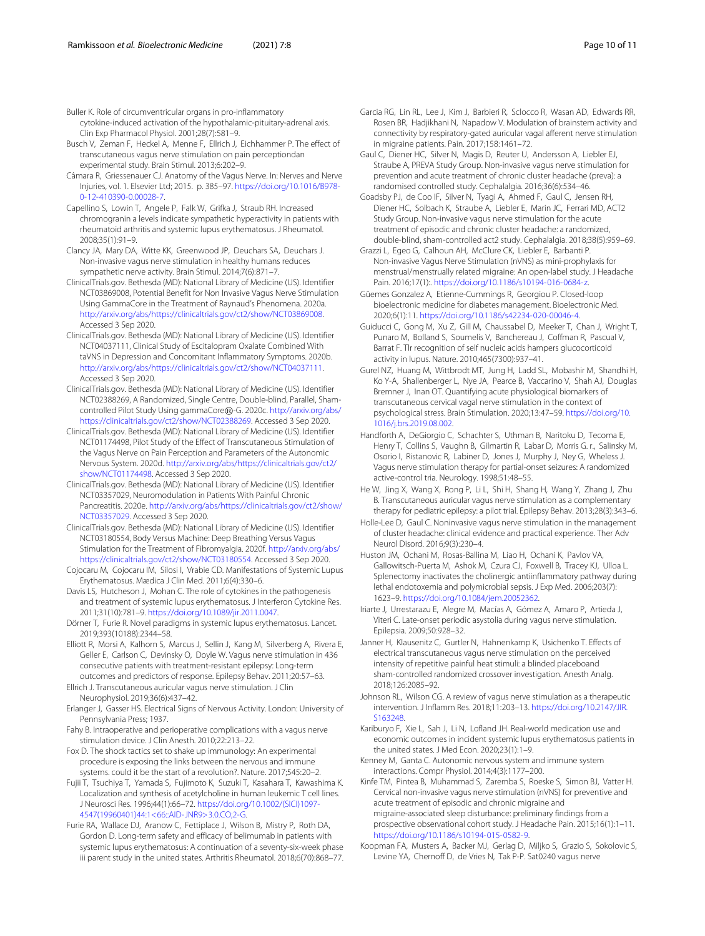<span id="page-9-13"></span>Buller K. Role of circumventricular organs in pro-inflammatory

cytokine-induced activation of the hypothalamic-pituitary-adrenal axis. Clin Exp Pharmacol Physiol. 2001;28(7):581–9.

- <span id="page-9-30"></span>Busch V, Zeman F, Heckel A, Menne F, Ellrich J, Eichhammer P. The effect of transcutaneous vagus nerve stimulation on pain perceptiondan experimental study. Brain Stimul. 2013;6:202–9.
- <span id="page-9-10"></span>Câmara R, Griessenauer CJ. Anatomy of the Vagus Nerve. In: Nerves and Nerve Injuries, vol. 1. Elsevier Ltd; 2015. p. 385–97. [https://doi.org/10.1016/B978-](https://doi.org/10.1016/B978-0-12-410390-0.00028-7) [0-12-410390-0.00028-7.](https://doi.org/10.1016/B978-0-12-410390-0.00028-7)
- <span id="page-9-8"></span>Capellino S, Lowin T, Angele P, Falk W, Grifka J, Straub RH. Increased chromogranin a levels indicate sympathetic hyperactivity in patients with rheumatoid arthritis and systemic lupus erythematosus. J Rheumatol. 2008;35(1):91–9.
- <span id="page-9-29"></span>Clancy JA, Mary DA, Witte KK, Greenwood JP, Deuchars SA, Deuchars J. Non-invasive vagus nerve stimulation in healthy humans reduces sympathetic nerve activity. Brain Stimul. 2014;7(6):871–7.
- <span id="page-9-23"></span>ClinicalTrials.gov. Bethesda (MD): National Library of Medicine (US). Identifier NCT03869008, Potential Benefit for Non Invasive Vagus Nerve Stimulation Using GammaCore in the Treatment of Raynaud's Phenomena. 2020a. [http://arxiv.org/abs/https://clinicaltrials.gov/ct2/show/NCT03869008.](http://arxiv.org/abs/https://clinicaltrials.gov/ct2/show/NCT03869008) Accessed 3 Sep 2020.
- <span id="page-9-33"></span>ClinicalTrials.gov. Bethesda (MD): National Library of Medicine (US). Identifier NCT04037111, Clinical Study of Escitalopram Oxalate Combined With taVNS in Depression and Concomitant Inflammatory Symptoms. 2020b. [http://arxiv.org/abs/https://clinicaltrials.gov/ct2/show/NCT04037111.](http://arxiv.org/abs/https://clinicaltrials.gov/ct2/show/NCT04037111) Accessed 3 Sep 2020.
- <span id="page-9-24"></span>ClinicalTrials.gov. Bethesda (MD): National Library of Medicine (US). Identifier NCT02388269, A Randomized, Single Centre, Double-blind, Parallel, Shamcontrolled Pilot Study Using gammaCore®-G. 2020c. [http://arxiv.org/abs/](http://arxiv.org/abs/https://clinicaltrials.gov/ct2/show/NCT02388269) [https://clinicaltrials.gov/ct2/show/NCT02388269.](http://arxiv.org/abs/https://clinicaltrials.gov/ct2/show/NCT02388269) Accessed 3 Sep 2020.
- <span id="page-9-34"></span>ClinicalTrials.gov. Bethesda (MD): National Library of Medicine (US). Identifier NCT01174498, Pilot Study of the Effect of Transcutaneous Stimulation of the Vagus Nerve on Pain Perception and Parameters of the Autonomic Nervous System. 2020d. [http://arxiv.org/abs/https://clinicaltrials.gov/ct2/](http://arxiv.org/abs/https://clinicaltrials.gov/ct2/show/NCT01174498) [show/NCT01174498.](http://arxiv.org/abs/https://clinicaltrials.gov/ct2/show/NCT01174498) Accessed 3 Sep 2020.
- <span id="page-9-25"></span>ClinicalTrials.gov. Bethesda (MD): National Library of Medicine (US). Identifier NCT03357029, Neuromodulation in Patients With Painful Chronic Pancreatitis. 2020e. [http://arxiv.org/abs/https://clinicaltrials.gov/ct2/show/](http://arxiv.org/abs/https://clinicaltrials.gov/ct2/show/NCT03357029) [NCT03357029.](http://arxiv.org/abs/https://clinicaltrials.gov/ct2/show/NCT03357029) Accessed 3 Sep 2020.
- <span id="page-9-35"></span>ClinicalTrials.gov. Bethesda (MD): National Library of Medicine (US). Identifier NCT03180554, Body Versus Machine: Deep Breathing Versus Vagus Stimulation for the Treatment of Fibromyalgia. 2020f. [http://arxiv.org/abs/](http://arxiv.org/abs/https://clinicaltrials.gov/ct2/show/NCT03180554) [https://clinicaltrials.gov/ct2/show/NCT03180554.](http://arxiv.org/abs/https://clinicaltrials.gov/ct2/show/NCT03180554) Accessed 3 Sep 2020.
- <span id="page-9-7"></span>Cojocaru M, Cojocaru IM, Silosi I, Vrabie CD. Manifestations of Systemic Lupus Erythematosus. Mædica J Clin Med. 2011;6(4):330–6.
- <span id="page-9-0"></span>Davis LS, Hutcheson J, Mohan C. The role of cytokines in the pathogenesis and treatment of systemic lupus erythematosus. J Interferon Cytokine Res. 2011;31(10):781–9. [https://doi.org/10.1089/jir.2011.0047.](https://doi.org/10.1089/jir.2011.0047)
- <span id="page-9-1"></span>Dörner T, Furie R. Novel paradigms in systemic lupus erythematosus. Lancet. 2019;393(10188):2344–58.
- <span id="page-9-16"></span>Elliott R, Morsi A, Kalhorn S, Marcus J, Sellin J, Kang M, Silverberg A, Rivera E, Geller E, Carlson C, Devinsky O, Doyle W. Vagus nerve stimulation in 436 consecutive patients with treatment-resistant epilepsy: Long-term outcomes and predictors of response. Epilepsy Behav. 2011;20:57–63. Ellrich J. Transcutaneous auricular vagus nerve stimulation. J Clin
- <span id="page-9-27"></span>Neurophysiol. 2019;36(6):437–42.
- <span id="page-9-12"></span>Erlanger J, Gasser HS. Electrical Signs of Nervous Activity. London: University of Pennsylvania Press; 1937.
- <span id="page-9-19"></span>Fahy B. Intraoperative and perioperative complications with a vagus nerve stimulation device. J Clin Anesth. 2010;22:213–22.
- <span id="page-9-5"></span>Fox D. The shock tactics set to shake up immunology: An experimental procedure is exposing the links between the nervous and immune systems. could it be the start of a revolution?. Nature. 2017;545:20–2.
- <span id="page-9-15"></span>Fujii T, Tsuchiya T, Yamada S, Fujimoto K, Suzuki T, Kasahara T, Kawashima K. Localization and synthesis of acetylcholine in human leukemic T cell lines. J Neurosci Res. 1996;44(1):66–72. [https://doi.org/10.1002/\(SICI\)1097-](https://doi.org/10.1002/(SICI)1097-4547(19960401)44:1<66::AID-JNR9>3.0.CO;2-G) [4547\(19960401\)44:1<66::AID-JNR9>3.0.CO;2-G.](https://doi.org/10.1002/(SICI)1097-4547(19960401)44:1<66::AID-JNR9>3.0.CO;2-G)
- <span id="page-9-3"></span>Furie RA, Wallace DJ, Aranow C, Fettiplace J, Wilson B, Mistry P, Roth DA, Gordon D. Long-term safety and efficacy of belimumab in patients with systemic lupus erythematosus: A continuation of a seventy-six-week phase iii parent study in the united states. Arthritis Rheumatol. 2018;6(70):868–77.
- <span id="page-9-32"></span>Garcia RG, Lin RL, Lee J, Kim J, Barbieri R, Sclocco R, Wasan AD, Edwards RR, Rosen BR, Hadjikhani N, Napadow V. Modulation of brainstem activity and connectivity by respiratory-gated auricular vagal afferent nerve stimulation in migraine patients. Pain. 2017;158:1461–72.
- <span id="page-9-22"></span>Gaul C, Diener HC, Silver N, Magis D, Reuter U, Andersson A, Liebler EJ, Straube A, PREVA Study Group. Non-invasive vagus nerve stimulation for prevention and acute treatment of chronic cluster headache (preva): a randomised controlled study. Cephalalgia. 2016;36(6):534–46.
- <span id="page-9-21"></span>Goadsby PJ, de Coo IF, Silver N, Tyagi A, Ahmed F, Gaul C, Jensen RH, Diener HC, Solbach K, Straube A, Liebler E, Marin JC, Ferrari MD, ACT2 Study Group. Non-invasive vagus nerve stimulation for the acute treatment of episodic and chronic cluster headache: a randomized, double-blind, sham-controlled act2 study. Cephalalgia. 2018;38(5):959–69.
- <span id="page-9-37"></span>Grazzi L, Egeo G, Calhoun AH, McClure CK, Liebler E, Barbanti P. Non-invasive Vagus Nerve Stimulation (nVNS) as mini-prophylaxis for menstrual/menstrually related migraine: An open-label study. J Headache Pain. 2016;17(1):. [https://doi.org/10.1186/s10194-016-0684-z.](https://doi.org/10.1186/s10194-016-0684-z)
- <span id="page-9-38"></span>Güemes Gonzalez A, Etienne-Cummings R, Georgiou P. Closed-loop bioelectronic medicine for diabetes management. Bioelectronic Med. 2020;6(1):11. [https://doi.org/10.1186/s42234-020-00046-4.](https://doi.org/10.1186/s42234-020-00046-4)
- <span id="page-9-2"></span>Guiducci C, Gong M, Xu Z, Gill M, Chaussabel D, Meeker T, Chan J, Wright T, Punaro M, Bolland S, Soumelis V, Banchereau J, Coffman R, Pascual V, Barrat F. Tlr recognition of self nucleic acids hampers glucocorticoid activity in lupus. Nature. 2010;465(7300):937–41.
- <span id="page-9-9"></span>Gurel NZ, Huang M, Wittbrodt MT, Jung H, Ladd SL, Mobashir M, Shandhi H, Ko Y-A, Shallenberger L, Nye JA, Pearce B, Vaccarino V, Shah AJ, Douglas Bremner J, Inan OT. Quantifying acute physiological biomarkers of transcutaneous cervical vagal nerve stimulation in the context of psychological stress. Brain Stimulation. 2020;13:47–59. [https://doi.org/10.](https://doi.org/10.1016/j.brs.2019.08.002) [1016/j.brs.2019.08.002.](https://doi.org/10.1016/j.brs.2019.08.002)
- <span id="page-9-20"></span>Handforth A, DeGiorgio C, Schachter S, Uthman B, Naritoku D, Tecoma E, Henry T, Collins S, Vaughn B, Gilmartin R, Labar D, Morris G. r., Salinsky M, Osorio I, Ristanovic R, Labiner D, Jones J, Murphy J, Ney G, Wheless J. Vagus nerve stimulation therapy for partial-onset seizures: A randomized active-control tria. Neurology. 1998;51:48–55.
- <span id="page-9-28"></span>He W, Jing X, Wang X, Rong P, Li L, Shi H, Shang H, Wang Y, Zhang J, Zhu B. Transcutaneous auricular vagus nerve stimulation as a complementary therapy for pediatric epilepsy: a pilot trial. Epilepsy Behav. 2013;28(3):343–6.
- <span id="page-9-26"></span>Holle-Lee D, Gaul C. Noninvasive vagus nerve stimulation in the management of cluster headache: clinical evidence and practical experience. Ther Adv Neurol Disord. 2016;9(3):230–4.
- <span id="page-9-14"></span>Huston JM, Ochani M, Rosas-Ballina M, Liao H, Ochani K, Pavlov VA, Gallowitsch-Puerta M, Ashok M, Czura CJ, Foxwell B, Tracey KJ, Ulloa L. Splenectomy inactivates the cholinergic antiinflammatory pathway during lethal endotoxemia and polymicrobial sepsis. J Exp Med. 2006;203(7): 1623–9. [https://doi.org/10.1084/jem.20052362.](https://doi.org/10.1084/jem.20052362)
- <span id="page-9-18"></span>Iriarte J, Urrestarazu E, Alegre M, Macías A, Gómez A, Amaro P, Artieda J, Viteri C. Late-onset periodic asystolia during vagus nerve stimulation. Epilepsia. 2009;50:928–32.
- <span id="page-9-31"></span>Janner H, Klausenitz C, Gurtler N, Hahnenkamp K, Usichenko T. Effects of electrical transcutaneous vagus nerve stimulation on the perceived intensity of repetitive painful heat stimuli: a blinded placeboand sham-controlled randomized crossover investigation. Anesth Analg. 2018;126:2085–92.
- <span id="page-9-11"></span>Johnson RL, Wilson CG. A review of vagus nerve stimulation as a therapeutic intervention. J Inflamm Res. 2018;11:203–13. [https://doi.org/10.2147/JIR.](https://doi.org/10.2147/JIR.S163248) [S163248.](https://doi.org/10.2147/JIR.S163248)
- <span id="page-9-4"></span>Kariburyo F, Xie L, Sah J, Li N, Lofland JH. Real-world medication use and economic outcomes in incident systemic lupus erythematosus patients in the united states. J Med Econ. 2020;23(1):1–9.
- <span id="page-9-6"></span>Kenney M, Ganta C. Autonomic nervous system and immune system interactions. Compr Physiol. 2014;4(3):1177–200.
- <span id="page-9-36"></span>Kinfe TM, Pintea B, Muhammad S, Zaremba S, Roeske S, Simon BJ, Vatter H. Cervical non-invasive vagus nerve stimulation (nVNS) for preventive and acute treatment of episodic and chronic migraine and migraine-associated sleep disturbance: preliminary findings from a prospective observational cohort study. J Headache Pain. 2015;16(1):1–11. [https://doi.org/10.1186/s10194-015-0582-9.](https://doi.org/10.1186/s10194-015-0582-9)
- <span id="page-9-17"></span>Koopman FA, Musters A, Backer MJ, Gerlag D, Miljko S, Grazio S, Sokolovic S, Levine YA, Chernoff D, de Vries N, Tak P-P. Sat0240 vagus nerve